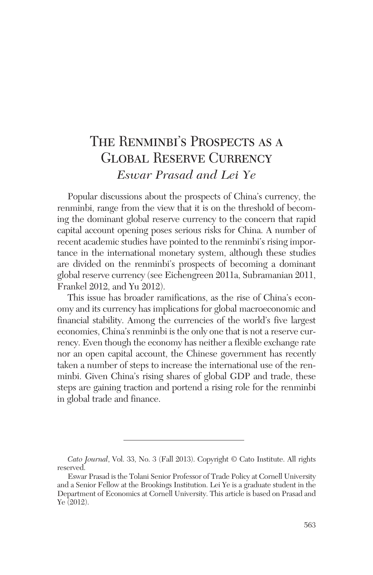# THE RENMINBI'S PROSPECTS AS A Global Reserve Currency *Eswar Prasad and Lei Ye*

Popular discussions about the prospects of China's currency, the renminbi, range from the view that it is on the threshold of becoming the dominant global reserve currency to the concern that rapid capital account opening poses serious risks for China. A number of recent academic studies have pointed to the renminbi's rising importance in the international monetary system, although these studies are divided on the renminbi's prospects of becoming a dominant global reserve currency (see Eichengreen 2011a, Subramanian 2011, Frankel 2012, and Yu 2012).

This issue has broader ramifications, as the rise of China's economy and its currency has implications for global macroeconomic and financial stability. Among the currencies of the world's five largest economies, China's renminbi is the only one that is not a reserve currency. Even though the economy has neither a flexible exchange rate nor an open capital account, the Chinese government has recently taken a number of steps to increase the international use of the renminbi. Given China's rising shares of global GDP and trade, these steps are gaining traction and portend a rising role for the renminbi in global trade and finance.

*Cato Journal*, Vol. 33, No. 3 (Fall 2013). Copyright © Cato Institute. All rights reserved.

Eswar Prasad is the Tolani Senior Professor of Trade Policy at Cornell University and a Senior Fellow at the Brookings Institution. Lei Ye is a graduate student in the Department of Economics at Cornell University. This article is based on Prasad and Ye (2012).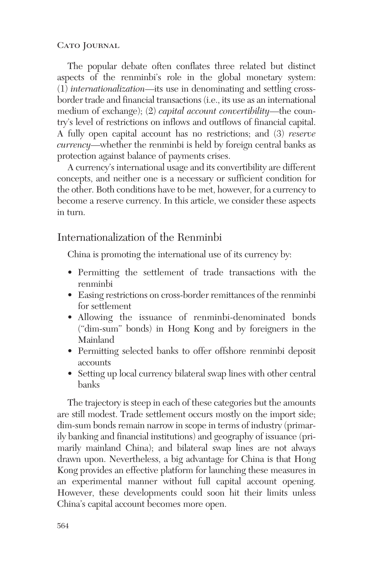The popular debate often conflates three related but distinct aspects of the renminbi's role in the global monetary system: (1) *internationalization*—its use in denominating and settling crossborder trade and financial transactions (i.e., its use as an international medium of exchange); (2) *capital account convertibility*—the country's level of restrictions on inflows and outflows of financial capital. A fully open capital account has no restrictions; and (3) *reserve currency*—whether the renminbi is held by foreign central banks as protection against balance of payments crises.

A currency's international usage and its convertibility are different concepts, and neither one is a necessary or sufficient condition for the other. Both conditions have to be met, however, for a currency to become a reserve currency. In this article, we consider these aspects in turn.

# Internationalization of the Renminbi

China is promoting the international use of its currency by:

- Permitting the settlement of trade transactions with the renminbi
- Easing restrictions on cross-border remittances of the renminbi for settlement
- Allowing the issuance of renminbi-denominated bonds ("dim-sum" bonds) in Hong Kong and by foreigners in the Mainland
- Permitting selected banks to offer offshore renminbi deposit accounts
- Setting up local currency bilateral swap lines with other central banks

The trajectory is steep in each of these categories but the amounts are still modest. Trade settlement occurs mostly on the import side; dim-sum bonds remain narrow in scope in terms of industry (primarily banking and financial institutions) and geography of issuance (primarily mainland China); and bilateral swap lines are not always drawn upon. Nevertheless, a big advantage for China is that Hong Kong provides an effective platform for launching these measures in an experimental manner without full capital account opening. However, these developments could soon hit their limits unless China's capital account becomes more open.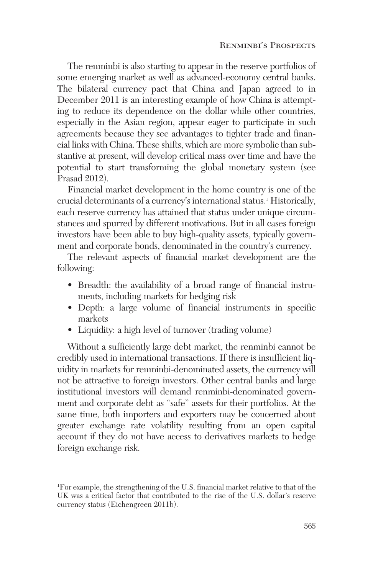The renminbi is also starting to appear in the reserve portfolios of some emerging market as well as advanced-economy central banks. The bilateral currency pact that China and Japan agreed to in December 2011 is an interesting example of how China is attempting to reduce its dependence on the dollar while other countries, especially in the Asian region, appear eager to participate in such agreements because they see advantages to tighter trade and financial links with China. These shifts, which are more symbolic than substantive at present, will develop critical mass over time and have the potential to start transforming the global monetary system (see Prasad 2012).

Financial market development in the home country is one of the crucial determinants of a currency's international status.<sup>1</sup> Historically, each reserve currency has attained that status under unique circumstances and spurred by different motivations. But in all cases foreign investors have been able to buy high-quality assets, typically government and corporate bonds, denominated in the country's currency.

The relevant aspects of financial market development are the following:

- Breadth: the availability of a broad range of financial instruments, including markets for hedging risk
- Depth: a large volume of financial instruments in specific markets
- Liquidity: a high level of turnover (trading volume)

Without a sufficiently large debt market, the renminbi cannot be credibly used in international transactions. If there is insufficient liquidity in markets for renminbi-denominated assets, the currency will not be attractive to foreign investors. Other central banks and large institutional investors will demand renminbi-denominated government and corporate debt as "safe" assets for their portfolios. At the same time, both importers and exporters may be concerned about greater exchange rate volatility resulting from an open capital account if they do not have access to derivatives markets to hedge foreign exchange risk.

<sup>1</sup> For example, the strengthening of the U.S. financial market relative to that of the UK was a critical factor that contributed to the rise of the U.S. dollar's reserve currency status (Eichengreen 2011b).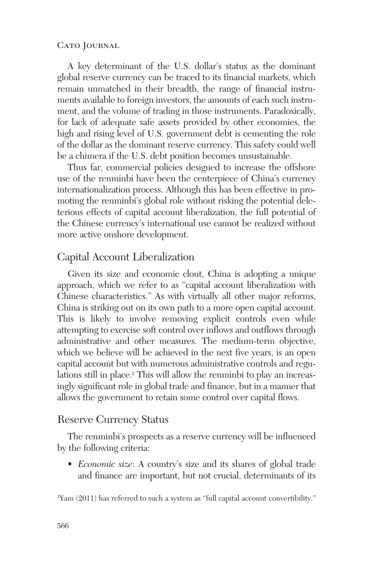A key determinant of the U.S. dollar's status as the dominant global reserve currency can be traced to its financial markets, which remain unmatched in their breadth, the range of financial instruments available to foreign investors, the amounts of each such instrument, and the volume of trading in those instruments. Paradoxically, for lack of adequate safe assets provided by other economies, the high and rising level of U.S. government debt is cementing the role of the dollar as the dominant reserve currency. This safety could well be a chimera if the U.S. debt position becomes unsustainable.

Thus far, commercial policies designed to increase the offshore use of the renminbi have been the centerpiece of China's currency internationalization process. Although this has been effective in promoting the renminbi's global role without risking the potential deleterious effects of capital account liberalization, the full potential of the Chinese currency's international use cannot be realized without more active onshore development.

# Capital Account Liberalization

Given its size and economic clout, China is adopting a unique approach, which we refer to as "capital account liberalization with Chinese characteristics." As with virtually all other major reforms, China is striking out on its own path to a more open capital account. This is likely to involve removing explicit controls even while attempting to exercise soft control over inflows and outflows through administrative and other measures. The medium-term objective, which we believe will be achieved in the next five years, is an open capital account but with numerous administrative controls and regulations still in place.<sup>2</sup> This will allow the renminbi to play an increasingly significant role in global trade and finance, but in a manner that allows the government to retain some control over capital flows.

## Reserve Currency Status

The renminbi's prospects as a reserve currency will be influenced by the following criteria:

• *Economic size*: A country's size and its shares of global trade and finance are important, but not crucial, determinants of its

2 Yam (2011) has referred to such a system as "full capital account convertibility."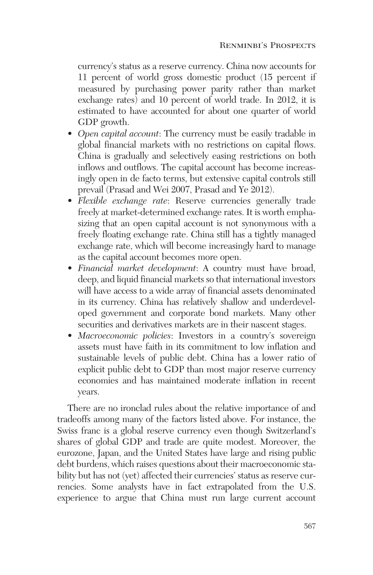currency's status as a reserve currency. China now accounts for 11 percent of world gross domestic product (15 percent if measured by purchasing power parity rather than market exchange rates) and 10 percent of world trade. In 2012, it is estimated to have accounted for about one quarter of world GDP growth.

- *Open capital account*: The currency must be easily tradable in global financial markets with no restrictions on capital flows. China is gradually and selectively easing restrictions on both inflows and outflows. The capital account has become increasingly open in de facto terms, but extensive capital controls still prevail (Prasad and Wei 2007, Prasad and Ye 2012).
- *Flexible exchange rate*: Reserve currencies generally trade freely at market-determined exchange rates. It is worth emphasizing that an open capital account is not synonymous with a freely floating exchange rate. China still has a tightly managed exchange rate, which will become increasingly hard to manage as the capital account becomes more open.
- *Financial market development*: A country must have broad, deep, and liquid financial markets so that international investors will have access to a wide array of financial assets denominated in its currency. China has relatively shallow and underdeveloped government and corporate bond markets. Many other securities and derivatives markets are in their nascent stages.
- *Macroeconomic policies*: Investors in a country's sovereign assets must have faith in its commitment to low inflation and sustainable levels of public debt. China has a lower ratio of explicit public debt to GDP than most major reserve currency economies and has maintained moderate inflation in recent years.

There are no ironclad rules about the relative importance of and tradeoffs among many of the factors listed above. For instance, the Swiss franc is a global reserve currency even though Switzerland's shares of global GDP and trade are quite modest. Moreover, the eurozone, Japan, and the United States have large and rising public debt burdens, which raises questions about their macroeconomic stability but has not (yet) affected their currencies' status as reserve currencies. Some analysts have in fact extrapolated from the U.S. experience to argue that China must run large current account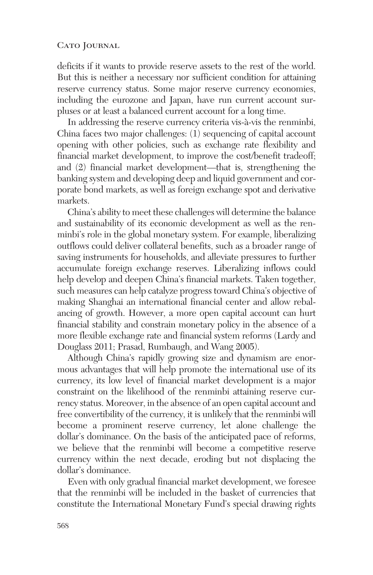deficits if it wants to provide reserve assets to the rest of the world. But this is neither a necessary nor sufficient condition for attaining reserve currency status. Some major reserve currency economies, including the eurozone and Japan, have run current account surpluses or at least a balanced current account for a long time.

In addressing the reserve currency criteria vis-à-vis the renminbi, China faces two major challenges: (1) sequencing of capital account opening with other policies, such as exchange rate flexibility and financial market development, to improve the cost/benefit tradeoff; and (2) financial market development—that is, strengthening the banking system and developing deep and liquid government and corporate bond markets, as well as foreign exchange spot and derivative markets.

China's ability to meet these challenges will determine the balance and sustainability of its economic development as well as the renminbi's role in the global monetary system. For example, liberalizing outflows could deliver collateral benefits, such as a broader range of saving instruments for households, and alleviate pressures to further accumulate foreign exchange reserves. Liberalizing inflows could help develop and deepen China's financial markets. Taken together, such measures can help catalyze progress toward China's objective of making Shanghai an international financial center and allow rebalancing of growth. However, a more open capital account can hurt financial stability and constrain monetary policy in the absence of a more flexible exchange rate and financial system reforms (Lardy and Douglass 2011; Prasad, Rumbaugh, and Wang 2005).

Although China's rapidly growing size and dynamism are enormous advantages that will help promote the international use of its currency, its low level of financial market development is a major constraint on the likelihood of the renminbi attaining reserve currency status. Moreover, in the absence of an open capital account and free convertibility of the currency, it is unlikely that the renminbi will become a prominent reserve currency, let alone challenge the dollar's dominance. On the basis of the anticipated pace of reforms, we believe that the renminbi will become a competitive reserve currency within the next decade, eroding but not displacing the dollar's dominance.

Even with only gradual financial market development, we foresee that the renminbi will be included in the basket of currencies that constitute the International Monetary Fund's special drawing rights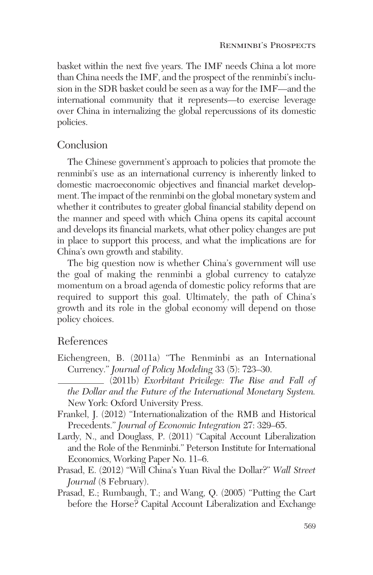basket within the next five years. The IMF needs China a lot more than China needs the IMF, and the prospect of the renminbi's inclusion in the SDR basket could be seen as a way for the IMF—and the international community that it represents—to exercise leverage over China in internalizing the global repercussions of its domestic policies.

# Conclusion

The Chinese government's approach to policies that promote the renminbi's use as an international currency is inherently linked to domestic macroeconomic objectives and financial market development. The impact of the renminbi on the global monetary system and whether it contributes to greater global financial stability depend on the manner and speed with which China opens its capital account and develops its financial markets, what other policy changes are put in place to support this process, and what the implications are for China's own growth and stability.

The big question now is whether China's government will use the goal of making the renminbi a global currency to catalyze momentum on a broad agenda of domestic policy reforms that are required to support this goal. Ultimately, the path of China's growth and its role in the global economy will depend on those policy choices.

## References

- Eichengreen, B. (2011a) "The Renminbi as an International Currency." *Journal of Policy Modeling* 33 (5): 723–30.
	- (2011b) *Exorbitant Privilege: The Rise and Fall of the Dollar and the Future of the International Monetary System.* New York: Oxford University Press.
- Frankel, J. (2012) "Internationalization of the RMB and Historical Precedents." *Journal of Economic Integration* 27: 329–65.
- Lardy, N., and Douglass, P. (2011) "Capital Account Liberalization and the Role of the Renminbi." Peterson Institute for International Economics, Working Paper No. 11–6.
- Prasad, E. (2012) "Will China's Yuan Rival the Dollar?" *Wall Street Journal* (8 February).
- Prasad, E.; Rumbaugh, T.; and Wang, Q. (2005) "Putting the Cart before the Horse? Capital Account Liberalization and Exchange